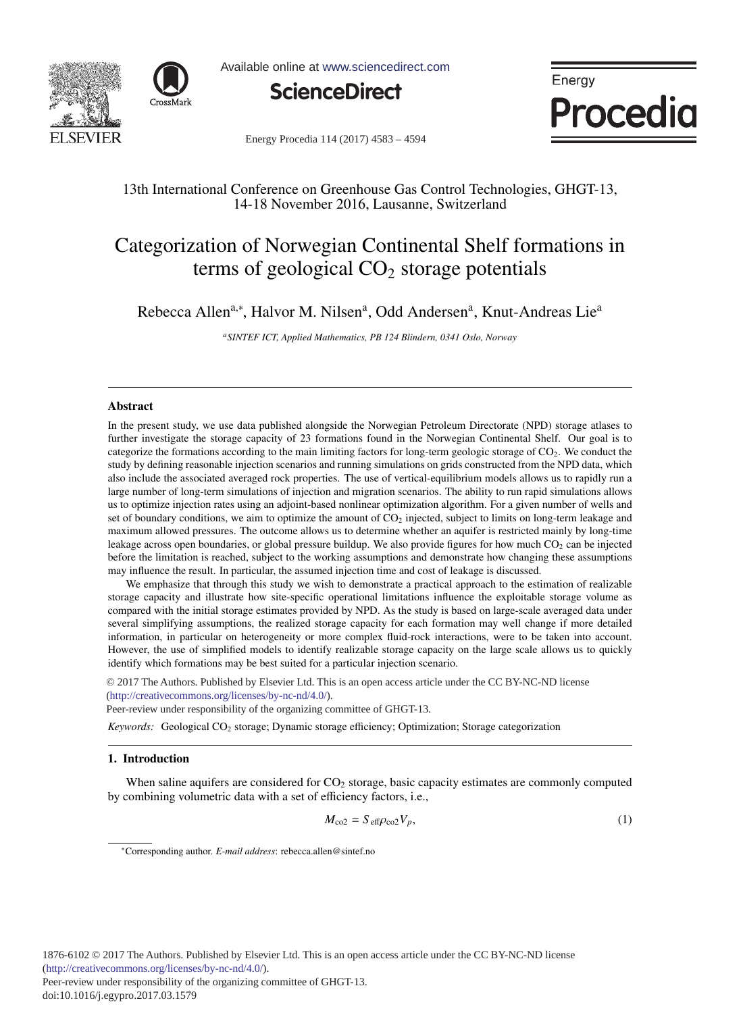



Available online at www.sciencedirect.com



Energy Procedia

Energy Procedia 114 (2017) 4583 - 4594

# 13th International Conference on Greenhouse Gas Control Technologies, GHGT-13, 14-18 November 2016, Lausanne, Switzerland

# Categorization of Norwegian Continental Shelf formations in terms of geological  $CO<sub>2</sub>$  storage potentials

Rebecca Allen<sup>a,∗</sup>, Halvor M. Nilsen<sup>a</sup>, Odd Andersen<sup>a</sup>, Knut-Andreas Lie<sup>a</sup>

*aSINTEF ICT, Applied Mathematics, PB 124 Blindern, 0341 Oslo, Norway*

# Abstract

In the present study, we use data published alongside the Norwegian Petroleum Directorate (NPD) storage atlases to further investigate the storage capacity of 23 formations found in the Norwegian Continental Shelf. Our goal is to categorize the formations according to the main limiting factors for long-term geologic storage of  $CO<sub>2</sub>$ . We conduct the study by defining reasonable injection scenarios and running simulations on grids constructed from the NPD data, which also include the associated averaged rock properties. The use of vertical-equilibrium models allows us to rapidly run a large number of long-term simulations of injection and migration scenarios. The ability to run rapid simulations allows us to optimize injection rates using an adjoint-based nonlinear optimization algorithm. For a given number of wells and set of boundary conditions, we aim to optimize the amount of  $CO<sub>2</sub>$  injected, subject to limits on long-term leakage and maximum allowed pressures. The outcome allows us to determine whether an aquifer is restricted mainly by long-time leakage across open boundaries, or global pressure buildup. We also provide figures for how much  $CO<sub>2</sub>$  can be injected before the limitation is reached, subject to the working assumptions and demonstrate how changing these assumptions may influence the result. In particular, the assumed injection time and cost of leakage is discussed.

We emphasize that through this study we wish to demonstrate a practical approach to the estimation of realizable storage capacity and illustrate how site-specific operational limitations influence the exploitable storage volume as compared with the initial storage estimates provided by NPD. As the study is based on large-scale averaged data under several simplifying assumptions, the realized storage capacity for each formation may well change if more detailed information, in particular on heterogeneity or more complex fluid-rock interactions, were to be taken into account. However, the use of simplified models to identify realizable storage capacity on the large scale allows us to quickly identify which formations may be best suited for a particular injection scenario.

(http://creativecommons.org/licenses/by-nc-nd/4.0/). © 2017 The Authors. Published by Elsevier Ltd. This is an open access article under the CC BY-NC-ND license

Peer-review under responsibility of the organizing committee of GHGT-13.

*Keywords:* Geological CO<sub>2</sub> storage; Dynamic storage efficiency; Optimization; Storage categorization

# 1. Introduction

When saline aquifers are considered for  $CO<sub>2</sub>$  storage, basic capacity estimates are commonly computed by combining volumetric data with a set of efficiency factors, i.e.,

$$
M_{\rm co2} = S_{\rm eff} \rho_{\rm co2} V_p,\tag{1}
$$

<sup>∗</sup>Corresponding author. *E-mail address*: rebecca.allen@sintef.no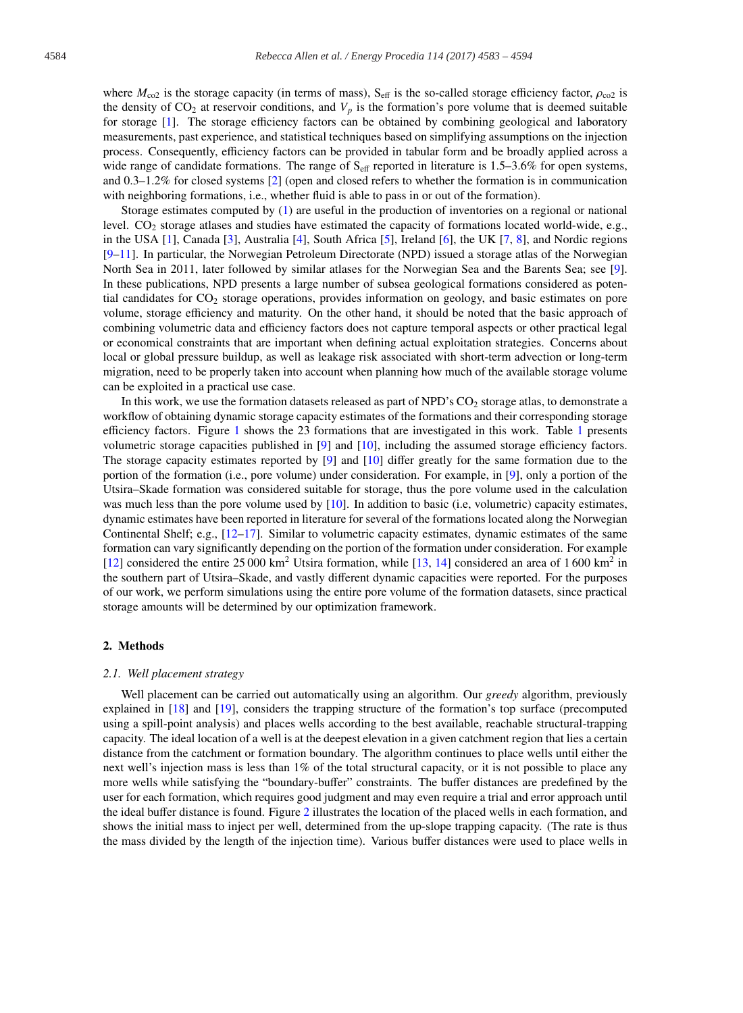where  $M_{\text{co2}}$  is the storage capacity (in terms of mass), S<sub>eff</sub> is the so-called storage efficiency factor,  $\rho_{\text{co2}}$  is the density of  $CO_2$  at reservoir conditions, and  $V_p$  is the formation's pore volume that is deemed suitable for storage [1]. The storage efficiency factors can be obtained by combining geological and laboratory measurements, past experience, and statistical techniques based on simplifying assumptions on the injection process. Consequently, efficiency factors can be provided in tabular form and be broadly applied across a wide range of candidate formations. The range of  $S_{\text{eff}}$  reported in literature is 1.5–3.6% for open systems, and 0.3–1.2% for closed systems [2] (open and closed refers to whether the formation is in communication with neighboring formations, i.e., whether fluid is able to pass in or out of the formation).

Storage estimates computed by (1) are useful in the production of inventories on a regional or national level.  $CO<sub>2</sub>$  storage atlases and studies have estimated the capacity of formations located world-wide, e.g., in the USA [1], Canada [3], Australia [4], South Africa [5], Ireland [6], the UK [7, 8], and Nordic regions [9–11]. In particular, the Norwegian Petroleum Directorate (NPD) issued a storage atlas of the Norwegian North Sea in 2011, later followed by similar atlases for the Norwegian Sea and the Barents Sea; see [9]. In these publications, NPD presents a large number of subsea geological formations considered as potential candidates for CO2 storage operations, provides information on geology, and basic estimates on pore volume, storage efficiency and maturity. On the other hand, it should be noted that the basic approach of combining volumetric data and efficiency factors does not capture temporal aspects or other practical legal or economical constraints that are important when defining actual exploitation strategies. Concerns about local or global pressure buildup, as well as leakage risk associated with short-term advection or long-term migration, need to be properly taken into account when planning how much of the available storage volume can be exploited in a practical use case.

In this work, we use the formation datasets released as part of NPD's  $CO<sub>2</sub>$  storage atlas, to demonstrate a workflow of obtaining dynamic storage capacity estimates of the formations and their corresponding storage efficiency factors. Figure 1 shows the 23 formations that are investigated in this work. Table 1 presents volumetric storage capacities published in [9] and [10], including the assumed storage efficiency factors. The storage capacity estimates reported by [9] and [10] differ greatly for the same formation due to the portion of the formation (i.e., pore volume) under consideration. For example, in [9], only a portion of the Utsira–Skade formation was considered suitable for storage, thus the pore volume used in the calculation was much less than the pore volume used by [10]. In addition to basic (i.e, volumetric) capacity estimates, dynamic estimates have been reported in literature for several of the formations located along the Norwegian Continental Shelf; e.g., [12–17]. Similar to volumetric capacity estimates, dynamic estimates of the same formation can vary significantly depending on the portion of the formation under consideration. For example [12] considered the entire 25 000 km<sup>2</sup> Utsira formation, while [13, 14] considered an area of 1 600 km<sup>2</sup> in the southern part of Utsira–Skade, and vastly different dynamic capacities were reported. For the purposes of our work, we perform simulations using the entire pore volume of the formation datasets, since practical storage amounts will be determined by our optimization framework.

# 2. Methods

#### *2.1. Well placement strategy*

Well placement can be carried out automatically using an algorithm. Our *greedy* algorithm, previously explained in [18] and [19], considers the trapping structure of the formation's top surface (precomputed using a spill-point analysis) and places wells according to the best available, reachable structural-trapping capacity. The ideal location of a well is at the deepest elevation in a given catchment region that lies a certain distance from the catchment or formation boundary. The algorithm continues to place wells until either the next well's injection mass is less than 1% of the total structural capacity, or it is not possible to place any more wells while satisfying the "boundary-buffer" constraints. The buffer distances are predefined by the user for each formation, which requires good judgment and may even require a trial and error approach until the ideal buffer distance is found. Figure 2 illustrates the location of the placed wells in each formation, and shows the initial mass to inject per well, determined from the up-slope trapping capacity. (The rate is thus the mass divided by the length of the injection time). Various buffer distances were used to place wells in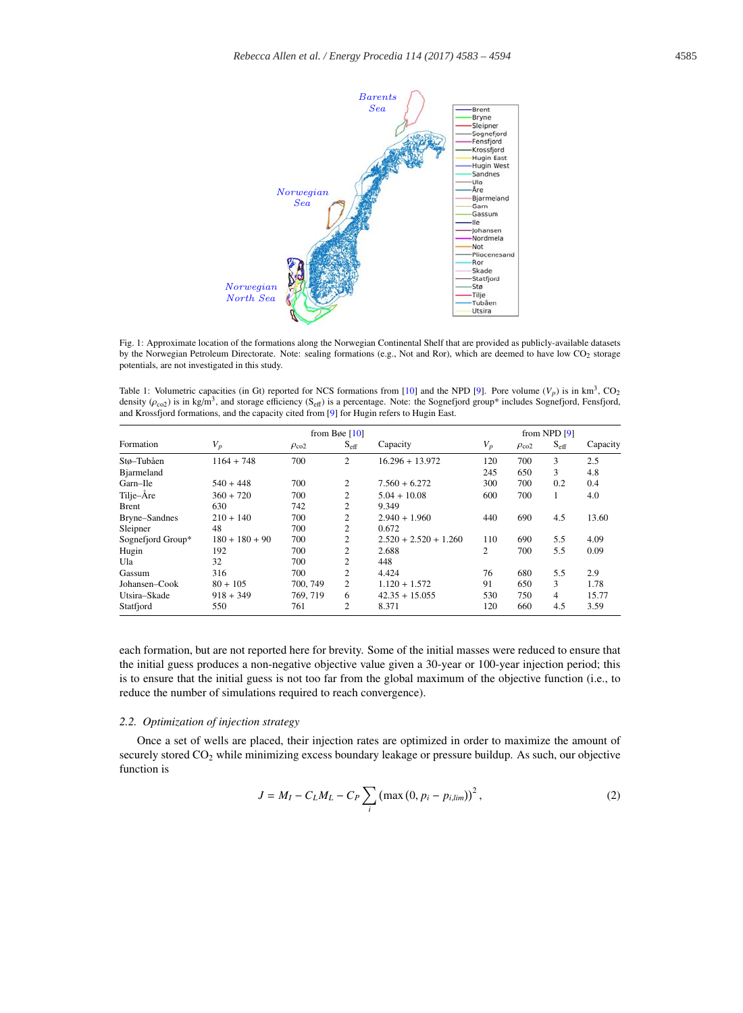

Fig. 1: Approximate location of the formations along the Norwegian Continental Shelf that are provided as publicly-available datasets by the Norwegian Petroleum Directorate. Note: sealing formations (e.g., Not and Ror), which are deemed to have low CO<sub>2</sub> storage potentials, are not investigated in this study.

Table 1: Volumetric capacities (in Gt) reported for NCS formations from [10] and the NPD [9]. Pore volume  $(V_p)$  is in km<sup>3</sup>, CO<sub>2</sub> density  $(\rho_{\text{c02}})$  is in kg/m<sup>3</sup>, and storage efficiency (S<sub>eff</sub>) is a percentage. Note: the Sognefjord group\* includes Sognefjord, Fensfjord, and Krossfjord formations, and the capacity cited from [9] for Hugin refers to Hugin East.

|                    | from Bøe $[10]$  |                  |                  |                         | from NPD $[9]$ |                  |                  |          |
|--------------------|------------------|------------------|------------------|-------------------------|----------------|------------------|------------------|----------|
| Formation          | $V_p$            | $\rho_{\rm co2}$ | $S_{\text{eff}}$ | Capacity                | $V_p$          | $\rho_{\rm co2}$ | $S_{\text{eff}}$ | Capacity |
| Stø-Tubåen         | $1164 + 748$     | 700              | 2                | $16.296 + 13.972$       | 120            | 700              | 3                | 2.5      |
| <b>B</b> jarmeland |                  |                  |                  |                         | 245            | 650              | 3                | 4.8      |
| Garn-Ile           | $540 + 448$      | 700              | 2                | $7.560 + 6.272$         | 300            | 700              | 0.2              | 0.4      |
| Tilje-Åre          | $360 + 720$      | 700              | 2                | $5.04 + 10.08$          | 600            | 700              |                  | 4.0      |
| <b>Brent</b>       | 630              | 742              | 2                | 9.349                   |                |                  |                  |          |
| Bryne-Sandnes      | $210 + 140$      | 700              | 2                | $2.940 + 1.960$         | 440            | 690              | 4.5              | 13.60    |
| Sleipner           | 48               | 700              | 2                | 0.672                   |                |                  |                  |          |
| Sognefjord Group*  | $180 + 180 + 90$ | 700              | 2                | $2.520 + 2.520 + 1.260$ | 110            | 690              | 5.5              | 4.09     |
| Hugin              | 192              | 700              | $\overline{c}$   | 2.688                   | $\overline{c}$ | 700              | 5.5              | 0.09     |
| Ula                | 32               | 700              | 2                | 448                     |                |                  |                  |          |
| Gassum             | 316              | 700              | 2                | 4.424                   | 76             | 680              | 5.5              | 2.9      |
| Johansen-Cook      | $80 + 105$       | 700, 749         | 2                | $1.120 + 1.572$         | 91             | 650              | 3                | 1.78     |
| Utsira-Skade       | $918 + 349$      | 769, 719         | 6                | $42.35 + 15.055$        | 530            | 750              | 4                | 15.77    |
| Statfjord          | 550              | 761              | 2                | 8.371                   | 120            | 660              | 4.5              | 3.59     |

each formation, but are not reported here for brevity. Some of the initial masses were reduced to ensure that the initial guess produces a non-negative objective value given a 30-year or 100-year injection period; this is to ensure that the initial guess is not too far from the global maximum of the objective function (i.e., to reduce the number of simulations required to reach convergence).

# *2.2. Optimization of injection strategy*

Once a set of wells are placed, their injection rates are optimized in order to maximize the amount of securely stored CO<sub>2</sub> while minimizing excess boundary leakage or pressure buildup. As such, our objective function is

$$
J = M_I - C_L M_L - C_P \sum_{i} (\max(0, p_i - p_{i, \text{lim}}))^2,
$$
 (2)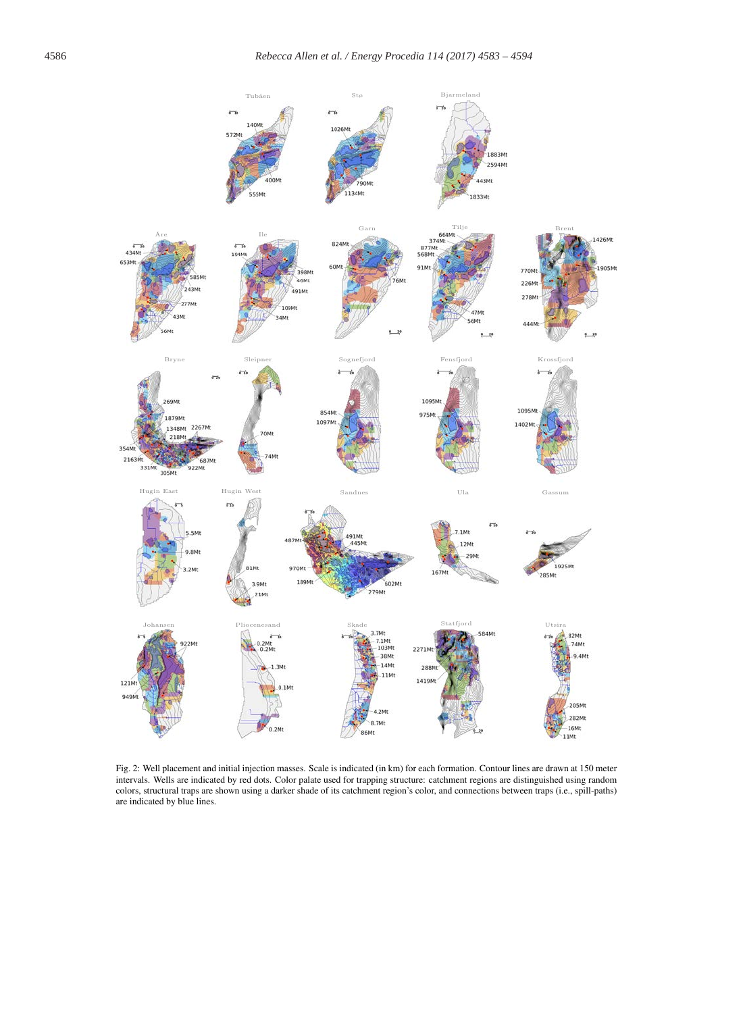

Fig. 2: Well placement and initial injection masses. Scale is indicated (in km) for each formation. Contour lines are drawn at 150 meter intervals. Wells are indicated by red dots. Color palate used for trapping structure: catchment regions are distinguished using random colors, structural traps are shown using a darker shade of its catchment region's color, and connections between traps (i.e., spill-paths) are indicated by blue lines.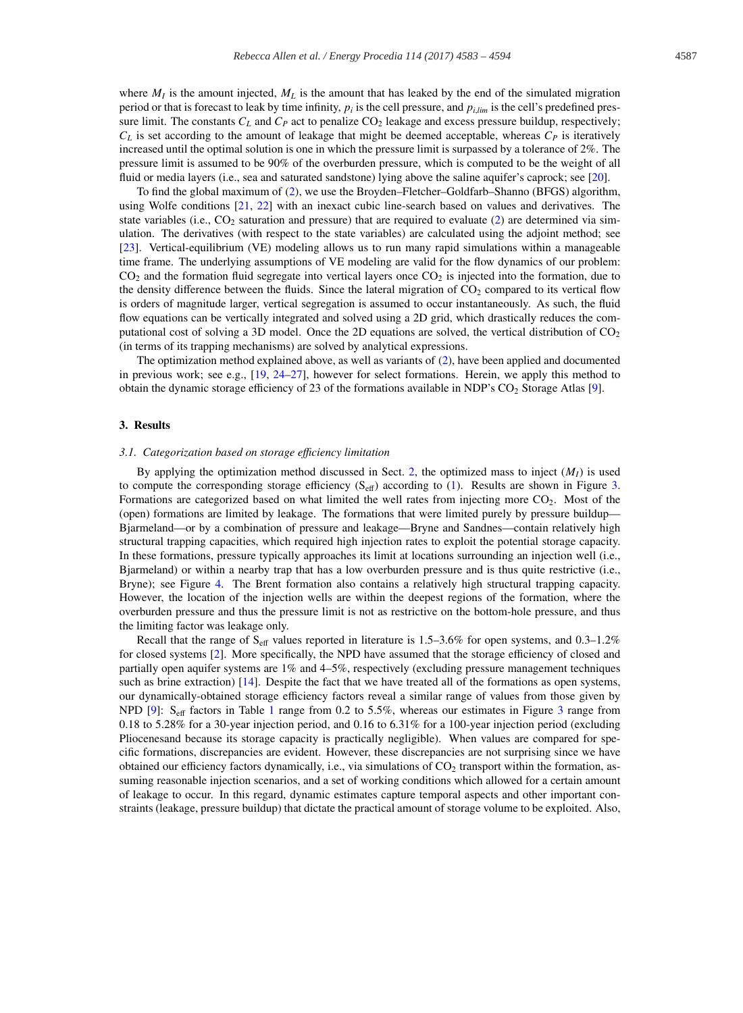where  $M_l$  is the amount injected,  $M_l$  is the amount that has leaked by the end of the simulated migration period or that is forecast to leak by time infinity,  $p_i$  is the cell pressure, and  $p_i_{i,m}$  is the cell's predefined pressure limit. The constants  $C_L$  and  $C_P$  act to penalize  $CO_2$  leakage and excess pressure buildup, respectively;  $C_L$  is set according to the amount of leakage that might be deemed acceptable, whereas  $C_P$  is iteratively increased until the optimal solution is one in which the pressure limit is surpassed by a tolerance of 2%. The pressure limit is assumed to be 90% of the overburden pressure, which is computed to be the weight of all fluid or media layers (i.e., sea and saturated sandstone) lying above the saline aquifer's caprock; see [20].

To find the global maximum of (2), we use the Broyden–Fletcher–Goldfarb–Shanno (BFGS) algorithm, using Wolfe conditions [21, 22] with an inexact cubic line-search based on values and derivatives. The state variables (i.e.,  $CO_2$  saturation and pressure) that are required to evaluate (2) are determined via simulation. The derivatives (with respect to the state variables) are calculated using the adjoint method; see [23]. Vertical-equilibrium (VE) modeling allows us to run many rapid simulations within a manageable time frame. The underlying assumptions of VE modeling are valid for the flow dynamics of our problem:  $CO<sub>2</sub>$  and the formation fluid segregate into vertical layers once  $CO<sub>2</sub>$  is injected into the formation, due to the density difference between the fluids. Since the lateral migration of  $CO<sub>2</sub>$  compared to its vertical flow is orders of magnitude larger, vertical segregation is assumed to occur instantaneously. As such, the fluid flow equations can be vertically integrated and solved using a 2D grid, which drastically reduces the computational cost of solving a 3D model. Once the 2D equations are solved, the vertical distribution of  $CO<sub>2</sub>$ (in terms of its trapping mechanisms) are solved by analytical expressions.

The optimization method explained above, as well as variants of (2), have been applied and documented in previous work; see e.g.,  $[19, 24-27]$ , however for select formations. Herein, we apply this method to obtain the dynamic storage efficiency of 23 of the formations available in NDP's CO2 Storage Atlas [9].

#### 3. Results

# *3.1. Categorization based on storage e*ffi*ciency limitation*

By applying the optimization method discussed in Sect. 2, the optimized mass to inject  $(M<sub>I</sub>)$  is used to compute the corresponding storage efficiency  $(S_{\text{eff}})$  according to (1). Results are shown in Figure 3. Formations are categorized based on what limited the well rates from injecting more  $CO<sub>2</sub>$ . Most of the (open) formations are limited by leakage. The formations that were limited purely by pressure buildup— Bjarmeland—or by a combination of pressure and leakage—Bryne and Sandnes—contain relatively high structural trapping capacities, which required high injection rates to exploit the potential storage capacity. In these formations, pressure typically approaches its limit at locations surrounding an injection well (i.e., Bjarmeland) or within a nearby trap that has a low overburden pressure and is thus quite restrictive (i.e., Bryne); see Figure 4. The Brent formation also contains a relatively high structural trapping capacity. However, the location of the injection wells are within the deepest regions of the formation, where the overburden pressure and thus the pressure limit is not as restrictive on the bottom-hole pressure, and thus the limiting factor was leakage only.

Recall that the range of  $S_{\text{eff}}$  values reported in literature is 1.5–3.6% for open systems, and 0.3–1.2% for closed systems [2]. More specifically, the NPD have assumed that the storage efficiency of closed and partially open aquifer systems are 1% and 4–5%, respectively (excluding pressure management techniques such as brine extraction) [14]. Despite the fact that we have treated all of the formations as open systems, our dynamically-obtained storage efficiency factors reveal a similar range of values from those given by NPD [9]: S<sub>eff</sub> factors in Table 1 range from 0.2 to 5.5%, whereas our estimates in Figure 3 range from 0.18 to 5.28% for a 30-year injection period, and 0.16 to 6.31% for a 100-year injection period (excluding Pliocenesand because its storage capacity is practically negligible). When values are compared for specific formations, discrepancies are evident. However, these discrepancies are not surprising since we have obtained our efficiency factors dynamically, i.e., via simulations of  $CO<sub>2</sub>$  transport within the formation, assuming reasonable injection scenarios, and a set of working conditions which allowed for a certain amount of leakage to occur. In this regard, dynamic estimates capture temporal aspects and other important constraints (leakage, pressure buildup) that dictate the practical amount of storage volume to be exploited. Also,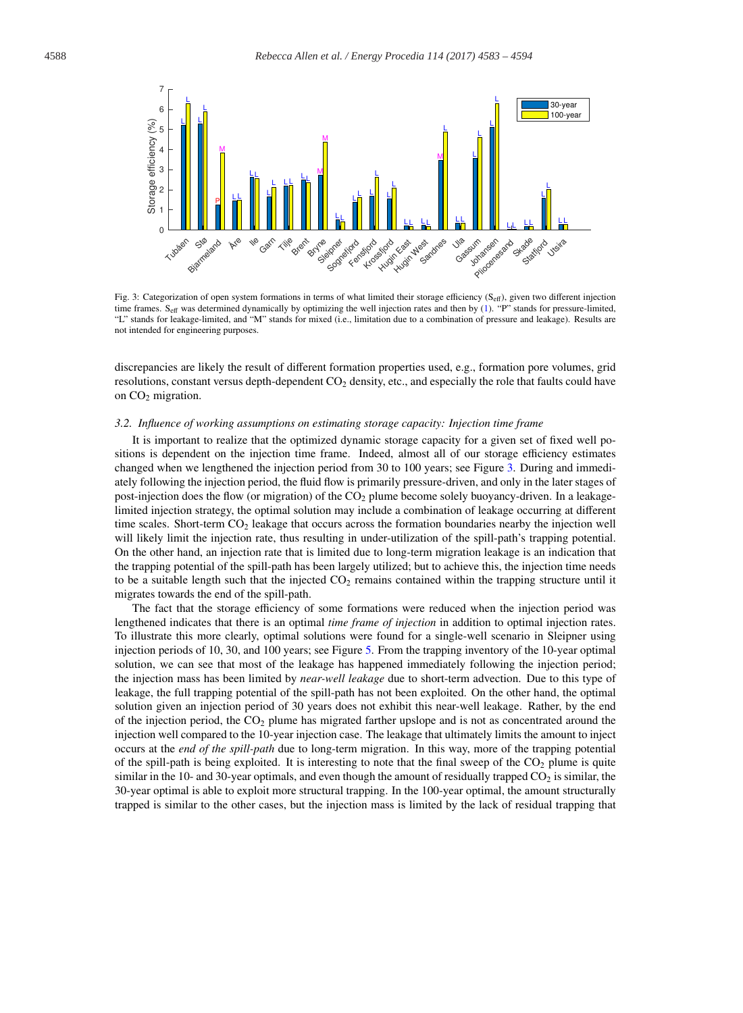

Fig. 3: Categorization of open system formations in terms of what limited their storage efficiency ( $S_{\text{eff}}$ ), given two different injection time frames. Seff was determined dynamically by optimizing the well injection rates and then by (1). "P" stands for pressure-limited, "L" stands for leakage-limited, and "M" stands for mixed (i.e., limitation due to a combination of pressure and leakage). Results are not intended for engineering purposes.

discrepancies are likely the result of different formation properties used, e.g., formation pore volumes, grid resolutions, constant versus depth-dependent CO<sub>2</sub> density, etc., and especially the role that faults could have on  $CO<sub>2</sub>$  migration.

#### *3.2. Influence of working assumptions on estimating storage capacity: Injection time frame*

It is important to realize that the optimized dynamic storage capacity for a given set of fixed well positions is dependent on the injection time frame. Indeed, almost all of our storage efficiency estimates changed when we lengthened the injection period from 30 to 100 years; see Figure 3. During and immediately following the injection period, the fluid flow is primarily pressure-driven, and only in the later stages of post-injection does the flow (or migration) of the  $CO<sub>2</sub>$  plume become solely buoyancy-driven. In a leakagelimited injection strategy, the optimal solution may include a combination of leakage occurring at different time scales. Short-term  $CO<sub>2</sub>$  leakage that occurs across the formation boundaries nearby the injection well will likely limit the injection rate, thus resulting in under-utilization of the spill-path's trapping potential. On the other hand, an injection rate that is limited due to long-term migration leakage is an indication that the trapping potential of the spill-path has been largely utilized; but to achieve this, the injection time needs to be a suitable length such that the injected  $CO<sub>2</sub>$  remains contained within the trapping structure until it migrates towards the end of the spill-path.

The fact that the storage efficiency of some formations were reduced when the injection period was lengthened indicates that there is an optimal *time frame of injection* in addition to optimal injection rates. To illustrate this more clearly, optimal solutions were found for a single-well scenario in Sleipner using injection periods of 10, 30, and 100 years; see Figure 5. From the trapping inventory of the 10-year optimal solution, we can see that most of the leakage has happened immediately following the injection period; the injection mass has been limited by *near-well leakage* due to short-term advection. Due to this type of leakage, the full trapping potential of the spill-path has not been exploited. On the other hand, the optimal solution given an injection period of 30 years does not exhibit this near-well leakage. Rather, by the end of the injection period, the  $CO<sub>2</sub>$  plume has migrated farther upslope and is not as concentrated around the injection well compared to the 10-year injection case. The leakage that ultimately limits the amount to inject occurs at the *end of the spill-path* due to long-term migration. In this way, more of the trapping potential of the spill-path is being exploited. It is interesting to note that the final sweep of the  $CO<sub>2</sub>$  plume is quite similar in the 10- and 30-year optimals, and even though the amount of residually trapped  $CO<sub>2</sub>$  is similar, the 30-year optimal is able to exploit more structural trapping. In the 100-year optimal, the amount structurally trapped is similar to the other cases, but the injection mass is limited by the lack of residual trapping that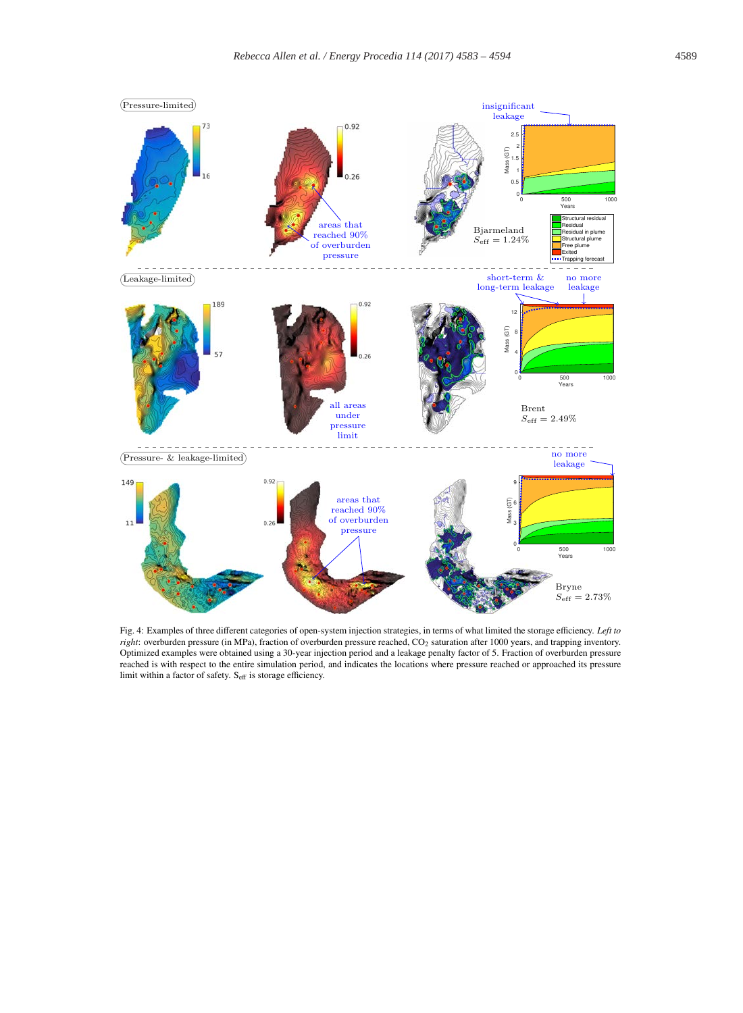

Fig. 4: Examples of three different categories of open-system injection strategies, in terms of what limited the storage efficiency. *Left to right*: overburden pressure (in MPa), fraction of overburden pressure reached, CO2 saturation after 1000 years, and trapping inventory. Optimized examples were obtained using a 30-year injection period and a leakage penalty factor of 5. Fraction of overburden pressure reached is with respect to the entire simulation period, and indicates the locations where pressure reached or approached its pressure limit within a factor of safety. S<sub>eff</sub> is storage efficiency.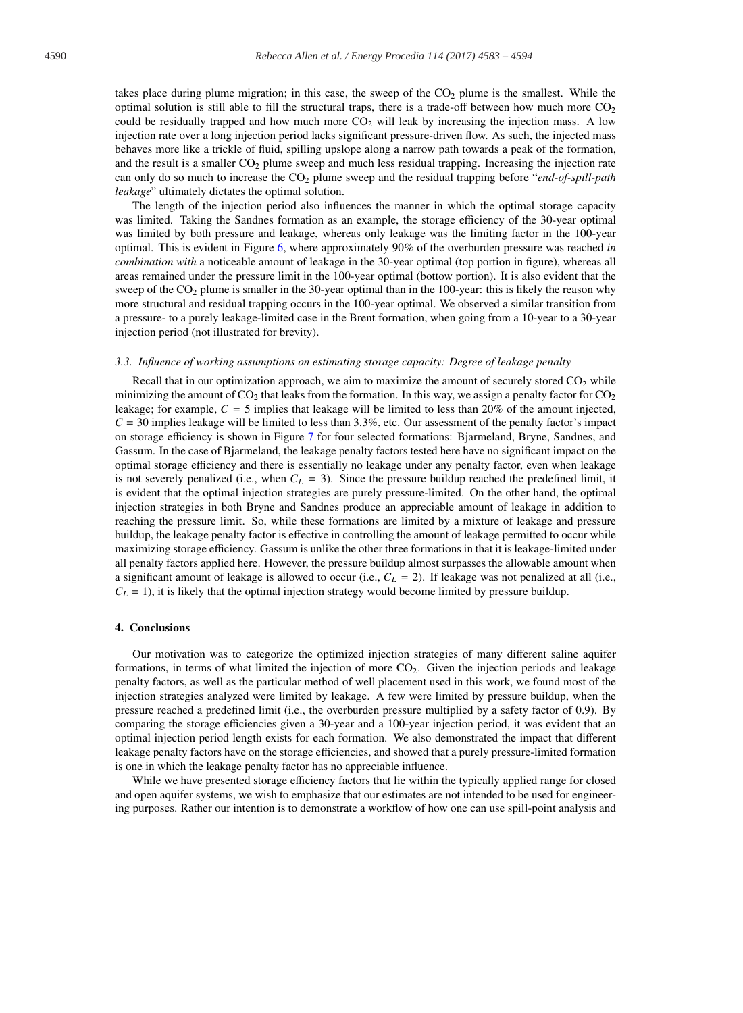takes place during plume migration; in this case, the sweep of the  $CO<sub>2</sub>$  plume is the smallest. While the optimal solution is still able to fill the structural traps, there is a trade-off between how much more  $CO<sub>2</sub>$ could be residually trapped and how much more  $CO<sub>2</sub>$  will leak by increasing the injection mass. A low injection rate over a long injection period lacks significant pressure-driven flow. As such, the injected mass behaves more like a trickle of fluid, spilling upslope along a narrow path towards a peak of the formation, and the result is a smaller  $CO<sub>2</sub>$  plume sweep and much less residual trapping. Increasing the injection rate can only do so much to increase the CO2 plume sweep and the residual trapping before "*end-of-spill-path leakage*" ultimately dictates the optimal solution.

The length of the injection period also influences the manner in which the optimal storage capacity was limited. Taking the Sandnes formation as an example, the storage efficiency of the 30-year optimal was limited by both pressure and leakage, whereas only leakage was the limiting factor in the 100-year optimal. This is evident in Figure 6, where approximately 90% of the overburden pressure was reached *in combination with* a noticeable amount of leakage in the 30-year optimal (top portion in figure), whereas all areas remained under the pressure limit in the 100-year optimal (bottow portion). It is also evident that the sweep of the  $CO<sub>2</sub>$  plume is smaller in the 30-year optimal than in the 100-year: this is likely the reason why more structural and residual trapping occurs in the 100-year optimal. We observed a similar transition from a pressure- to a purely leakage-limited case in the Brent formation, when going from a 10-year to a 30-year injection period (not illustrated for brevity).

#### *3.3. Influence of working assumptions on estimating storage capacity: Degree of leakage penalty*

Recall that in our optimization approach, we aim to maximize the amount of securely stored  $CO<sub>2</sub>$  while minimizing the amount of  $CO_2$  that leaks from the formation. In this way, we assign a penalty factor for  $CO_2$ leakage; for example,  $C = 5$  implies that leakage will be limited to less than 20% of the amount injected,  $C = 30$  implies leakage will be limited to less than 3.3%, etc. Our assessment of the penalty factor's impact on storage efficiency is shown in Figure 7 for four selected formations: Bjarmeland, Bryne, Sandnes, and Gassum. In the case of Bjarmeland, the leakage penalty factors tested here have no significant impact on the optimal storage efficiency and there is essentially no leakage under any penalty factor, even when leakage is not severely penalized (i.e., when  $C_L = 3$ ). Since the pressure buildup reached the predefined limit, it is evident that the optimal injection strategies are purely pressure-limited. On the other hand, the optimal injection strategies in both Bryne and Sandnes produce an appreciable amount of leakage in addition to reaching the pressure limit. So, while these formations are limited by a mixture of leakage and pressure buildup, the leakage penalty factor is effective in controlling the amount of leakage permitted to occur while maximizing storage efficiency. Gassum is unlike the other three formations in that it is leakage-limited under all penalty factors applied here. However, the pressure buildup almost surpasses the allowable amount when a significant amount of leakage is allowed to occur (i.e.,  $C_L = 2$ ). If leakage was not penalized at all (i.e.,  $C_L = 1$ ), it is likely that the optimal injection strategy would become limited by pressure buildup.

#### 4. Conclusions

Our motivation was to categorize the optimized injection strategies of many different saline aquifer formations, in terms of what limited the injection of more  $CO<sub>2</sub>$ . Given the injection periods and leakage penalty factors, as well as the particular method of well placement used in this work, we found most of the injection strategies analyzed were limited by leakage. A few were limited by pressure buildup, when the pressure reached a predefined limit (i.e., the overburden pressure multiplied by a safety factor of 0.9). By comparing the storage efficiencies given a 30-year and a 100-year injection period, it was evident that an optimal injection period length exists for each formation. We also demonstrated the impact that different leakage penalty factors have on the storage efficiencies, and showed that a purely pressure-limited formation is one in which the leakage penalty factor has no appreciable influence.

While we have presented storage efficiency factors that lie within the typically applied range for closed and open aquifer systems, we wish to emphasize that our estimates are not intended to be used for engineering purposes. Rather our intention is to demonstrate a workflow of how one can use spill-point analysis and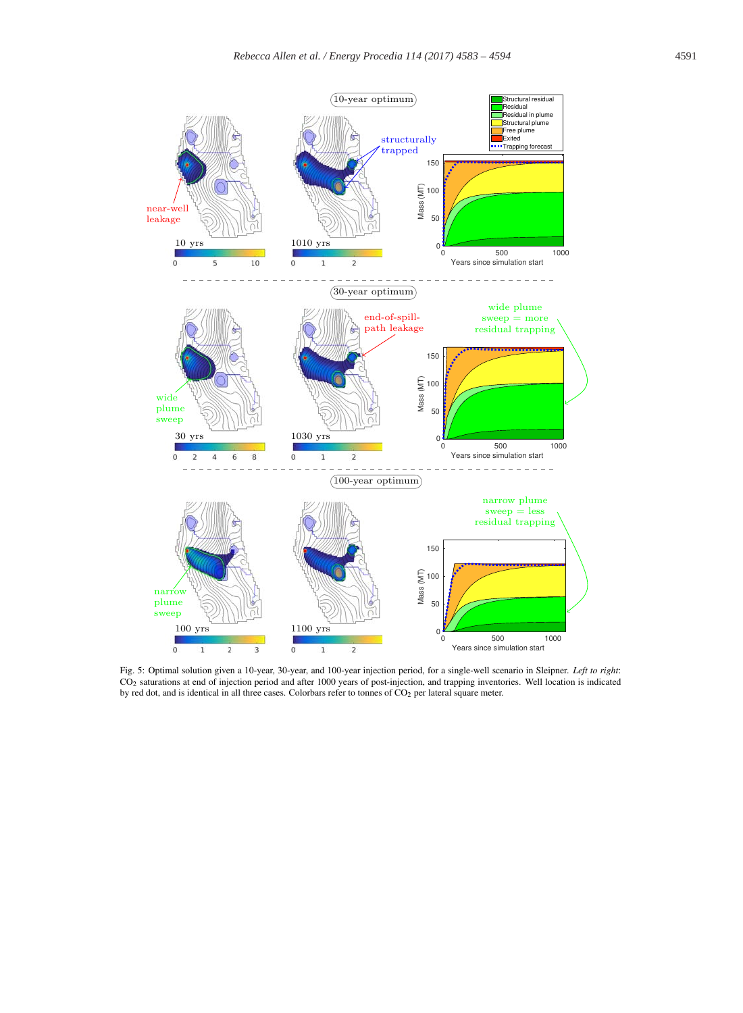

Fig. 5: Optimal solution given a 10-year, 30-year, and 100-year injection period, for a single-well scenario in Sleipner. *Left to right*: CO2 saturations at end of injection period and after 1000 years of post-injection, and trapping inventories. Well location is indicated by red dot, and is identical in all three cases. Colorbars refer to tonnes of CO<sub>2</sub> per lateral square meter.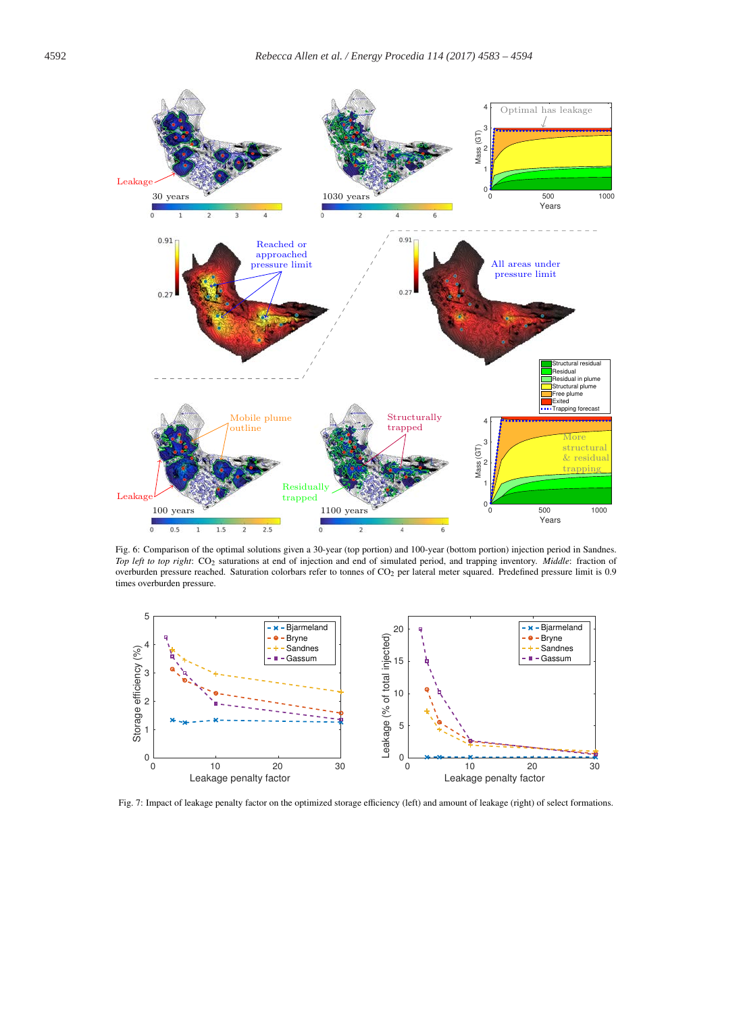

Fig. 6: Comparison of the optimal solutions given a 30-year (top portion) and 100-year (bottom portion) injection period in Sandnes. *Top left to top right*: CO2 saturations at end of injection and end of simulated period, and trapping inventory. *Middle*: fraction of overburden pressure reached. Saturation colorbars refer to tonnes of CO<sub>2</sub> per lateral meter squared. Predefined pressure limit is 0.9 times overburden pressure.



Fig. 7: Impact of leakage penalty factor on the optimized storage efficiency (left) and amount of leakage (right) of select formations.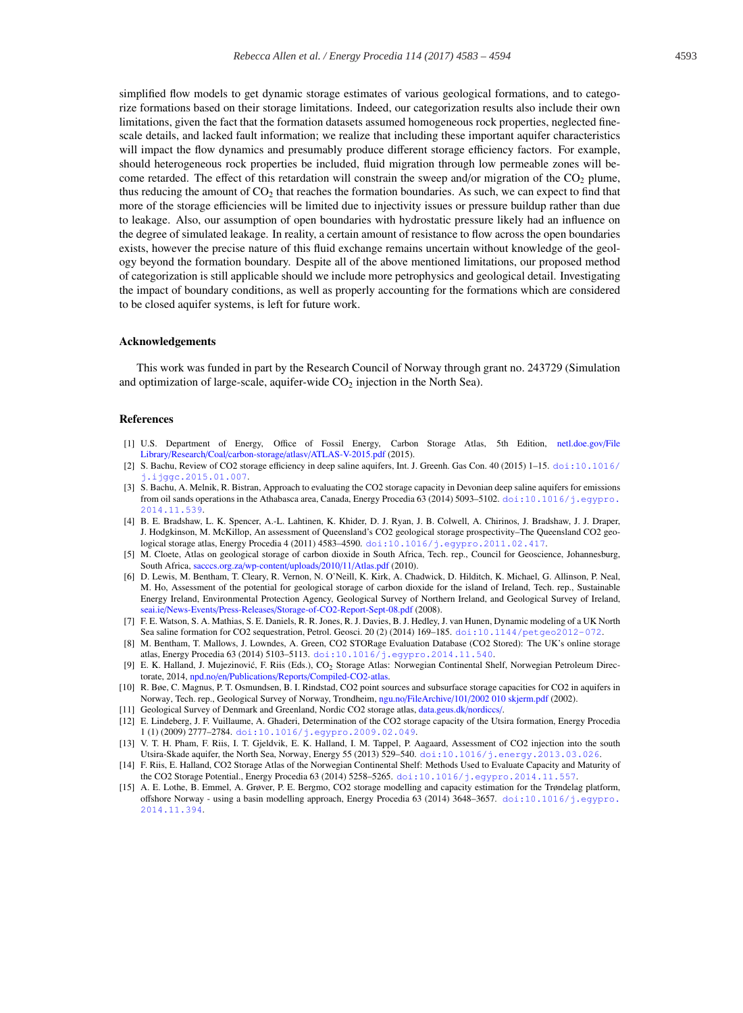simplified flow models to get dynamic storage estimates of various geological formations, and to categorize formations based on their storage limitations. Indeed, our categorization results also include their own limitations, given the fact that the formation datasets assumed homogeneous rock properties, neglected finescale details, and lacked fault information; we realize that including these important aquifer characteristics will impact the flow dynamics and presumably produce different storage efficiency factors. For example, should heterogeneous rock properties be included, fluid migration through low permeable zones will become retarded. The effect of this retardation will constrain the sweep and/or migration of the  $CO<sub>2</sub>$  plume, thus reducing the amount of  $CO<sub>2</sub>$  that reaches the formation boundaries. As such, we can expect to find that more of the storage efficiencies will be limited due to injectivity issues or pressure buildup rather than due to leakage. Also, our assumption of open boundaries with hydrostatic pressure likely had an influence on the degree of simulated leakage. In reality, a certain amount of resistance to flow across the open boundaries exists, however the precise nature of this fluid exchange remains uncertain without knowledge of the geology beyond the formation boundary. Despite all of the above mentioned limitations, our proposed method of categorization is still applicable should we include more petrophysics and geological detail. Investigating the impact of boundary conditions, as well as properly accounting for the formations which are considered to be closed aquifer systems, is left for future work.

# Acknowledgements

This work was funded in part by the Research Council of Norway through grant no. 243729 (Simulation and optimization of large-scale, aquifer-wide  $CO<sub>2</sub>$  injection in the North Sea).

# References

- [1] U.S. Department of Energy, Office of Fossil Energy, Carbon Storage Atlas, 5th Edition, netl.doe.gov/File Library/Research/Coal/carbon-storage/atlasv/ATLAS-V-2015.pdf (2015).
- [2] S. Bachu, Review of CO2 storage efficiency in deep saline aquifers, Int. J. Greenh. Gas Con. 40 (2015) 1–15. doi:10.1016/ j.ijggc.2015.01.007.
- [3] S. Bachu, A. Melnik, R. Bistran, Approach to evaluating the CO2 storage capacity in Devonian deep saline aquifers for emissions from oil sands operations in the Athabasca area, Canada, Energy Procedia 63 (2014) 5093–5102. doi:10.1016/j.egypro. 2014.11.539.
- [4] B. E. Bradshaw, L. K. Spencer, A.-L. Lahtinen, K. Khider, D. J. Ryan, J. B. Colwell, A. Chirinos, J. Bradshaw, J. J. Draper, J. Hodgkinson, M. McKillop, An assessment of Queensland's CO2 geological storage prospectivity–The Queensland CO2 geological storage atlas, Energy Procedia 4 (2011) 4583–4590. doi:10.1016/j.egypro.2011.02.417.
- [5] M. Cloete, Atlas on geological storage of carbon dioxide in South Africa, Tech. rep., Council for Geoscience, Johannesburg, South Africa, sacccs.org.za/wp-content/uploads/2010/11/Atlas.pdf (2010).
- [6] D. Lewis, M. Bentham, T. Cleary, R. Vernon, N. O'Neill, K. Kirk, A. Chadwick, D. Hilditch, K. Michael, G. Allinson, P. Neal, M. Ho, Assessment of the potential for geological storage of carbon dioxide for the island of Ireland, Tech. rep., Sustainable Energy Ireland, Environmental Protection Agency, Geological Survey of Northern Ireland, and Geological Survey of Ireland, seai.ie/News-Events/Press-Releases/Storage-of-CO2-Report-Sept-08.pdf (2008).
- [7] F. E. Watson, S. A. Mathias, S. E. Daniels, R. R. Jones, R. J. Davies, B. J. Hedley, J. van Hunen, Dynamic modeling of a UK North Sea saline formation for CO2 sequestration, Petrol. Geosci. 20 (2) (2014) 169–185. doi:10.1144/petgeo2012-072.
- [8] M. Bentham, T. Mallows, J. Lowndes, A. Green, CO2 STORage Evaluation Database (CO2 Stored): The UK's online storage atlas, Energy Procedia 63 (2014) 5103–5113. doi:10.1016/j.egypro.2014.11.540.
- [9] E. K. Halland, J. Mujezinović, F. Riis (Eds.), CO<sub>2</sub> Storage Atlas: Norwegian Continental Shelf, Norwegian Petroleum Directorate, 2014, npd.no/en/Publications/Reports/Compiled-CO2-atlas.
- [10] R. Bøe, C. Magnus, P. T. Osmundsen, B. I. Rindstad, CO2 point sources and subsurface storage capacities for CO2 in aquifers in Norway, Tech. rep., Geological Survey of Norway, Trondheim, ngu.no/FileArchive/101/2002 010 skjerm.pdf (2002).
- [11] Geological Survey of Denmark and Greenland, Nordic CO2 storage atlas, data.geus.dk/nordiccs/.
- [12] E. Lindeberg, J. F. Vuillaume, A. Ghaderi, Determination of the CO2 storage capacity of the Utsira formation, Energy Procedia 1 (1) (2009) 2777–2784. doi:10.1016/j.egypro.2009.02.049.
- [13] V. T. H. Pham, F. Riis, I. T. Gjeldvik, E. K. Halland, I. M. Tappel, P. Aagaard, Assessment of CO2 injection into the south Utsira-Skade aquifer, the North Sea, Norway, Energy 55 (2013) 529–540. doi:10.1016/j.energy.2013.03.026.
- [14] F. Riis, E. Halland, CO2 Storage Atlas of the Norwegian Continental Shelf: Methods Used to Evaluate Capacity and Maturity of the CO2 Storage Potential., Energy Procedia 63 (2014) 5258–5265. doi:10.1016/j.egypro.2014.11.557.
- [15] A. E. Lothe, B. Emmel, A. Grøver, P. E. Bergmo, CO2 storage modelling and capacity estimation for the Trøndelag platform, offshore Norway - using a basin modelling approach, Energy Procedia 63 (2014) 3648–3657. doi:10.1016/j.egypro. 2014.11.394.